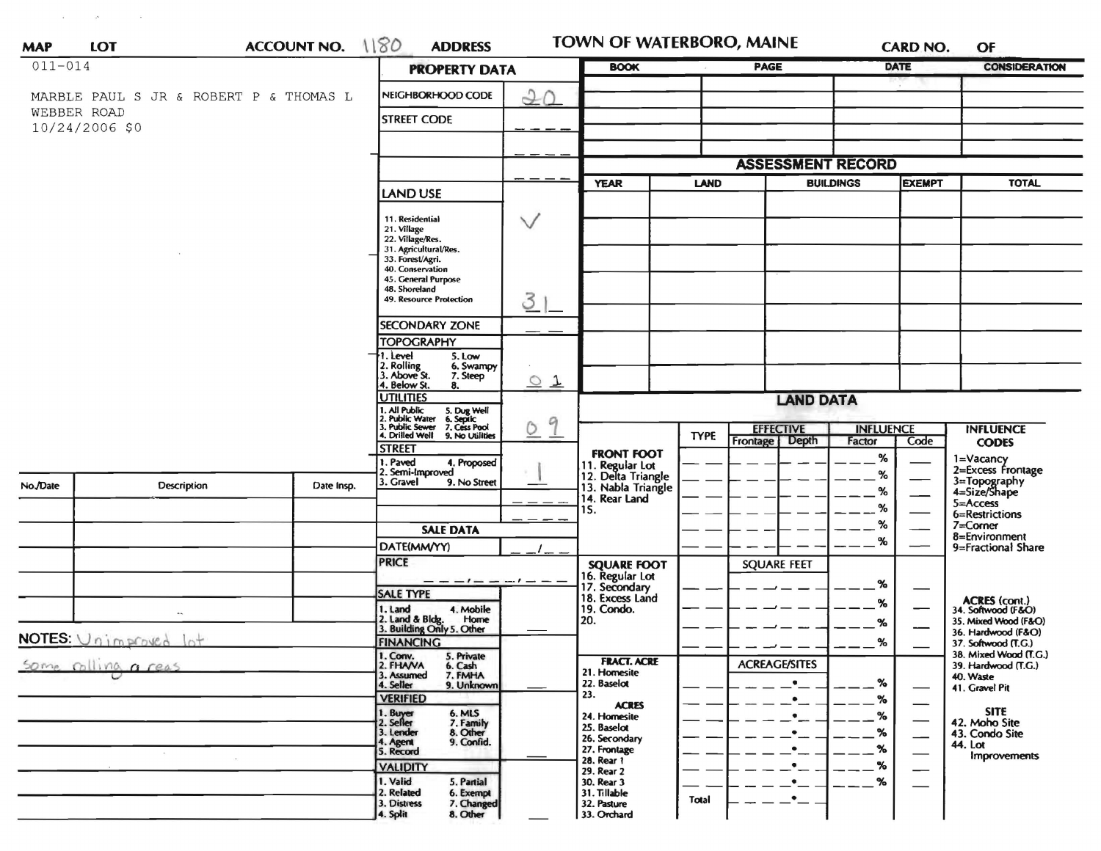| <b>MAP</b>                    | <b>LOT</b>                             | ACCOUNT NO. 1180   | <b>ADDRESS</b>                                                                         |                            | TOWN OF WATERBORO, MAINE                  |             |                                      |                  | <b>CARD NO.</b>          | OF                                           |
|-------------------------------|----------------------------------------|--------------------|----------------------------------------------------------------------------------------|----------------------------|-------------------------------------------|-------------|--------------------------------------|------------------|--------------------------|----------------------------------------------|
| $011 - 014$                   |                                        |                    | <b>PROPERTY DATA</b>                                                                   | <b>BOOK</b>                | PAGE                                      |             | <b>DATE</b>                          |                  | <b>CONSIDERATION</b>     |                                              |
|                               | MARBLE PAUL S JR & ROBERT P & THOMAS L |                    | NEIGHBORHOOD CODE                                                                      | 20                         |                                           |             |                                      |                  |                          |                                              |
| WEBBER ROAD<br>10/24/2006 \$0 |                                        | <b>STREET CODE</b> |                                                                                        |                            |                                           |             |                                      |                  |                          |                                              |
|                               |                                        |                    |                                                                                        |                            |                                           |             |                                      |                  |                          |                                              |
|                               |                                        |                    |                                                                                        |                            |                                           |             | <b>ASSESSMENT RECORD</b>             |                  |                          |                                              |
|                               |                                        |                    |                                                                                        |                            | <b>YEAR</b><br><b>LAND</b>                |             |                                      | <b>BUILDINGS</b> |                          | <b>TOTAL</b>                                 |
|                               |                                        |                    | <b>LAND USE</b>                                                                        |                            |                                           |             |                                      |                  |                          |                                              |
|                               |                                        |                    | 11. Residential                                                                        | $\vee$                     |                                           |             |                                      |                  |                          |                                              |
|                               |                                        |                    | 21. Village<br>22. Village/Res.                                                        |                            |                                           |             |                                      |                  |                          |                                              |
|                               |                                        |                    | 31. Agricultural/Res.<br>33. Forest/Agri.                                              |                            |                                           |             |                                      |                  |                          |                                              |
|                               |                                        |                    | 40. Conservation                                                                       |                            |                                           |             |                                      |                  |                          |                                              |
|                               |                                        |                    | 45. General Purpose<br>48. Shoreland                                                   |                            |                                           |             |                                      |                  |                          |                                              |
|                               |                                        |                    | <b>49. Resource Protection</b>                                                         | 3                          |                                           |             |                                      |                  |                          |                                              |
|                               |                                        |                    | <b>SECONDARY ZONE</b>                                                                  |                            |                                           |             |                                      |                  |                          |                                              |
|                               |                                        |                    | <b>TOPOGRAPHY</b>                                                                      |                            |                                           |             |                                      |                  |                          |                                              |
|                               |                                        |                    | 1. Level<br>5. Low                                                                     |                            |                                           |             |                                      |                  |                          |                                              |
|                               |                                        |                    | 2. Rolling<br>3. Above St.<br>6. Swampy<br>7. Steep                                    |                            |                                           |             |                                      |                  |                          |                                              |
|                               |                                        |                    | 4. Below St.<br>8.<br><b>UTILITIES</b>                                                 | $\circ$ 1                  |                                           |             |                                      |                  |                          |                                              |
|                               |                                        |                    |                                                                                        |                            |                                           |             | <b>LAND DATA</b>                     |                  |                          |                                              |
|                               |                                        |                    | 1. All Public 5. Dug Well<br>2. Public Water 6. Septic<br>3. Public Sewer 7. Cess Pool | 9<br>0                     |                                           |             | <b>INFLUENCE</b><br><b>EFFECTIVE</b> |                  |                          | <b>INFLUENCE</b>                             |
|                               |                                        |                    | 4. Drilled Well<br>9. No Utilities                                                     |                            |                                           | <b>TYPE</b> | <b>Depth</b><br>Frontage             | Factor           | Code                     | <b>CODES</b>                                 |
|                               |                                        |                    | <b>STREET</b><br>I. Paved<br>4. Proposed                                               |                            | <b>FRONT FOOT</b>                         |             |                                      | %                |                          | 1=Vacancy                                    |
|                               |                                        |                    | . Semi-Improved                                                                        |                            | 11. Regular Lot<br>12. Delta Triangle     |             |                                      | %                |                          | 2=Excess Frontage                            |
| No./Date                      | <b>Description</b>                     | Date Insp.         | 3. Gravel<br>9. No Street                                                              |                            | 13. Nabla Triangle                        |             |                                      |                  |                          | 3=Topography<br>4=Size/Shape                 |
|                               |                                        |                    |                                                                                        |                            | 14. Rear Land<br>15.                      |             |                                      | %                |                          | 5=Access                                     |
|                               |                                        |                    |                                                                                        |                            |                                           |             |                                      | %                |                          | 6=Restrictions<br>$7 =$ Corner               |
|                               |                                        |                    | <b>SALE DATA</b>                                                                       |                            |                                           |             |                                      | %                |                          | 8=Environment                                |
|                               |                                        |                    | DATE(MM/YY)                                                                            |                            |                                           |             |                                      |                  |                          | 9=Fractional Share                           |
|                               |                                        |                    | <b>PRICE</b>                                                                           |                            | <b>SQUARE FOOT</b>                        |             | <b>SQUARE FEET</b>                   |                  |                          |                                              |
|                               |                                        |                    |                                                                                        | $\cdots$ $\cdots$ $\cdots$ | 16. Regular Lot<br>17. Secondary          |             |                                      | %                | —                        |                                              |
|                               |                                        |                    | <b>SALE TYPE</b>                                                                       |                            | 18. Excess Land                           |             |                                      | %                |                          | ACRES (cont.)<br>34. Softwood (F&O)          |
|                               | $\overline{\phantom{a}}$               |                    | 1. Land<br>4. Mobile<br>Home                                                           |                            | 19. Condo.<br>20.                         |             |                                      | %                |                          | 35. Mixed Wood (F&O)                         |
| NOTES: Unimproved lot         |                                        |                    | 2. Land & Bldg. Home<br>3. Building Only 5. Other                                      |                            |                                           |             |                                      |                  |                          | 36. Hardwood (F&O)                           |
|                               |                                        |                    | <b>FINANCING</b><br>1. Conv.<br>5. Private                                             |                            |                                           |             |                                      | %                |                          | 37. Softwood (T.G.)<br>38. Mixed Wood (T.G.) |
| Some colling a reas           |                                        |                    | 2. FHANA<br>6. Cash                                                                    |                            | <b>FRACT. ACRE</b>                        |             | <b>ACREAGE/SITES</b>                 |                  |                          | 39. Hardwood (T.G.)                          |
|                               |                                        |                    | 7. FMHA<br>3. Assumed<br>4. Seller<br>9. Unknown                                       |                            | 21. Homesite<br>22. Baselot               |             |                                      | %                |                          | 40. Waste<br>41. Gravel Pit                  |
|                               |                                        |                    | <b>VERIFIED</b>                                                                        |                            | 23.                                       |             |                                      | ℅                |                          |                                              |
|                               |                                        |                    | 1. Buyer<br>2. Seller<br>6. MLS<br>7. Family                                           |                            | <b>ACRES</b><br>24. Homesite              |             |                                      | ℅                | —                        | <b>SITE</b>                                  |
|                               |                                        |                    | 8. Other<br>3. Lender                                                                  |                            | 25. Baselot                               |             |                                      | %                | $\overline{\phantom{0}}$ | 42. Moho Site<br>43. Condo Site              |
|                               |                                        |                    | 9. Confid.<br>4. Agent<br>5. Record                                                    |                            | 26. Secondary<br>27. Frontage             |             |                                      | %                | --                       | 44. Lot                                      |
|                               |                                        |                    | <b>VALIDITY</b>                                                                        |                            | 28. Rear 1                                |             |                                      | %                | $\overline{\phantom{0}}$ | <b>Improvements</b>                          |
|                               |                                        |                    |                                                                                        |                            | 29. Rear 2                                |             |                                      | %                |                          |                                              |
|                               |                                        |                    |                                                                                        |                            |                                           |             |                                      |                  |                          |                                              |
|                               |                                        |                    | 1. Valid<br>5. Partial<br>2. Related<br>6. Exempt<br>7. Changed<br>3. Distress         |                            | 30. Rear 3<br>31. Tillable<br>32. Pasture | Total       | $\bullet$                            |                  |                          |                                              |

 $\label{eq:2.1} \mathbf{y} = \mathbf{y} + \mathbf{y}$